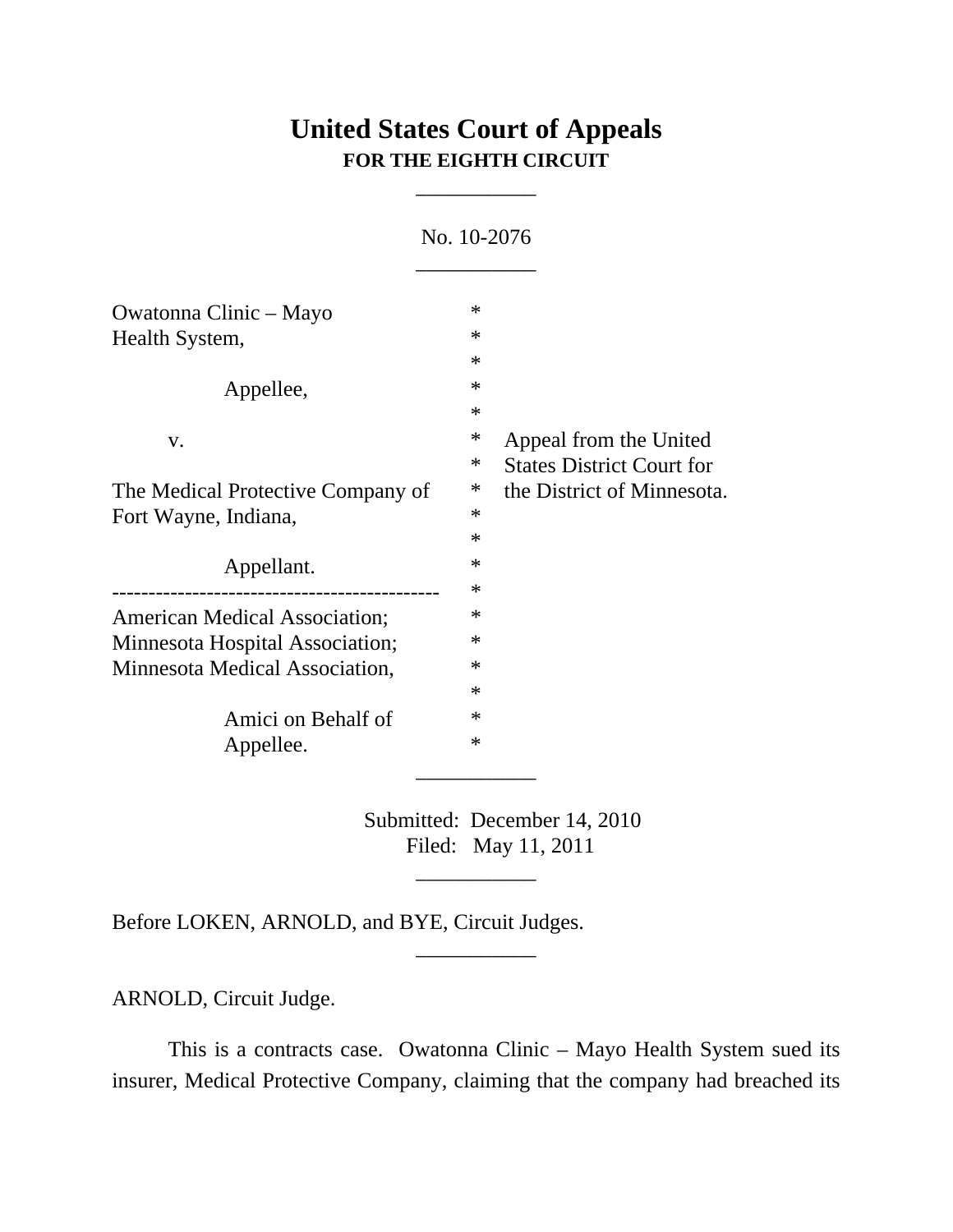## **United States Court of Appeals FOR THE EIGHTH CIRCUIT**

\_\_\_\_\_\_\_\_\_\_\_

No. 10-2076

| Owatonna Clinic – Mayo               | $\ast$  |                                  |
|--------------------------------------|---------|----------------------------------|
|                                      | $\ast$  |                                  |
| Health System,                       | $\ast$  |                                  |
|                                      |         |                                  |
| Appellee,                            | $\ast$  |                                  |
|                                      | $\ast$  |                                  |
| V.                                   | ∗       | Appeal from the United           |
|                                      | ∗       | <b>States District Court for</b> |
| The Medical Protective Company of    | $\ast$  | the District of Minnesota.       |
| Fort Wayne, Indiana,                 | $\ast$  |                                  |
|                                      | $\ast$  |                                  |
| Appellant.                           | $^\ast$ |                                  |
|                                      | $\ast$  |                                  |
| <b>American Medical Association;</b> | $\ast$  |                                  |
| Minnesota Hospital Association;      | $\ast$  |                                  |
| Minnesota Medical Association,       | $\ast$  |                                  |
|                                      | $\ast$  |                                  |
| Amici on Behalf of                   | $\ast$  |                                  |
| Appellee.                            | $\ast$  |                                  |
|                                      |         |                                  |

Submitted: December 14, 2010 Filed: May 11, 2011

\_\_\_\_\_\_\_\_\_\_\_

\_\_\_\_\_\_\_\_\_\_\_

Before LOKEN, ARNOLD, and BYE, Circuit Judges.

ARNOLD, Circuit Judge.

This is a contracts case. Owatonna Clinic – Mayo Health System sued its insurer, Medical Protective Company, claiming that the company had breached its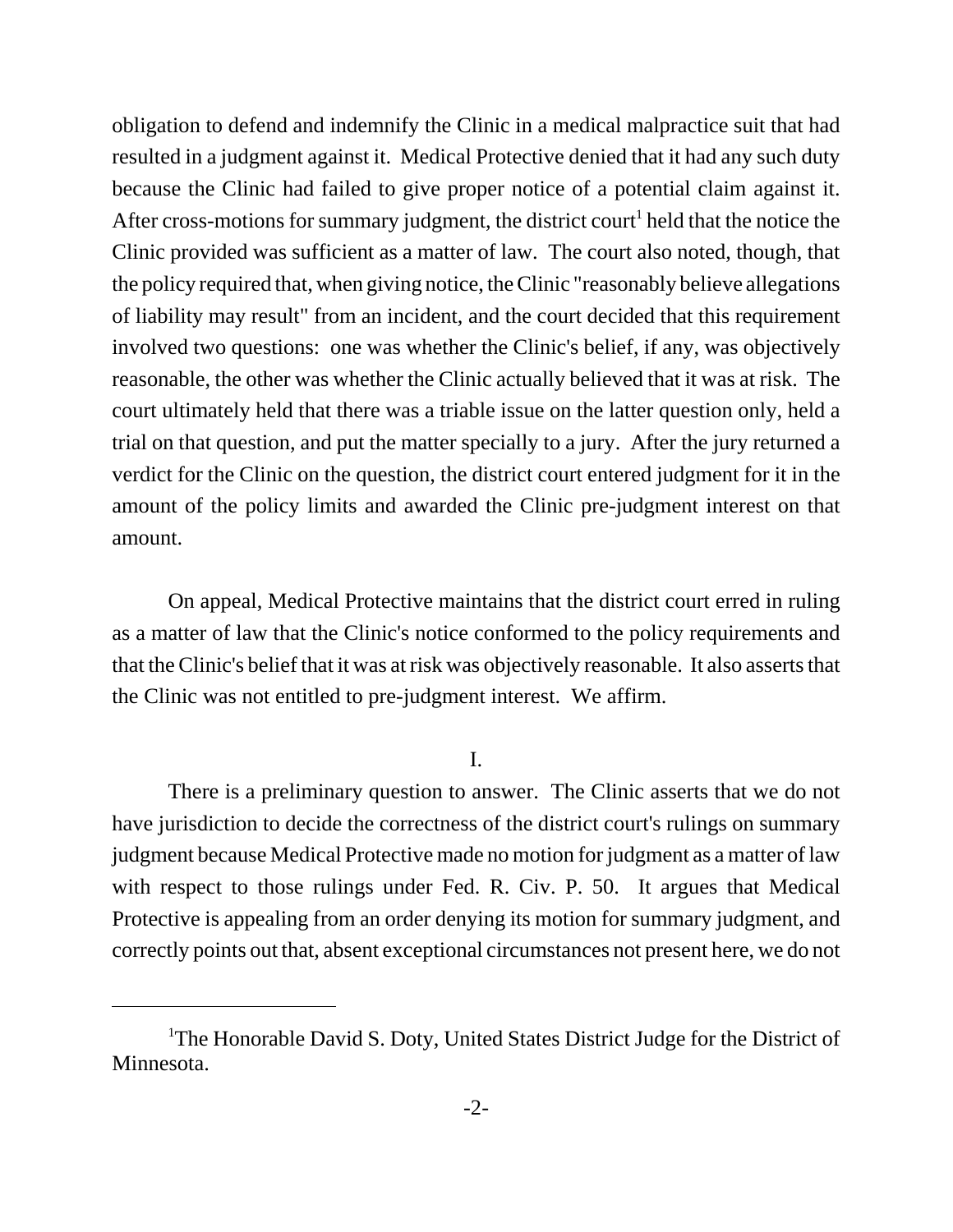obligation to defend and indemnify the Clinic in a medical malpractice suit that had resulted in a judgment against it. Medical Protective denied that it had any such duty because the Clinic had failed to give proper notice of a potential claim against it. After cross-motions for summary judgment, the district court<sup>1</sup> held that the notice the Clinic provided was sufficient as a matter of law. The court also noted, though, that the policy required that, when giving notice, the Clinic "reasonably believe allegations of liability may result" from an incident, and the court decided that this requirement involved two questions: one was whether the Clinic's belief, if any, was objectively reasonable, the other was whether the Clinic actually believed that it was at risk. The court ultimately held that there was a triable issue on the latter question only, held a trial on that question, and put the matter specially to a jury. After the jury returned a verdict for the Clinic on the question, the district court entered judgment for it in the amount of the policy limits and awarded the Clinic pre-judgment interest on that amount.

On appeal, Medical Protective maintains that the district court erred in ruling as a matter of law that the Clinic's notice conformed to the policy requirements and that the Clinic's belief that it was at risk was objectively reasonable. It also asserts that the Clinic was not entitled to pre-judgment interest. We affirm.

I.

There is a preliminary question to answer. The Clinic asserts that we do not have jurisdiction to decide the correctness of the district court's rulings on summary judgment because Medical Protective made no motion for judgment as a matter of law with respect to those rulings under Fed. R. Civ. P. 50. It argues that Medical Protective is appealing from an order denying its motion for summary judgment, and correctly points out that, absent exceptional circumstances not present here, we do not

<sup>&</sup>lt;sup>1</sup>The Honorable David S. Doty, United States District Judge for the District of Minnesota.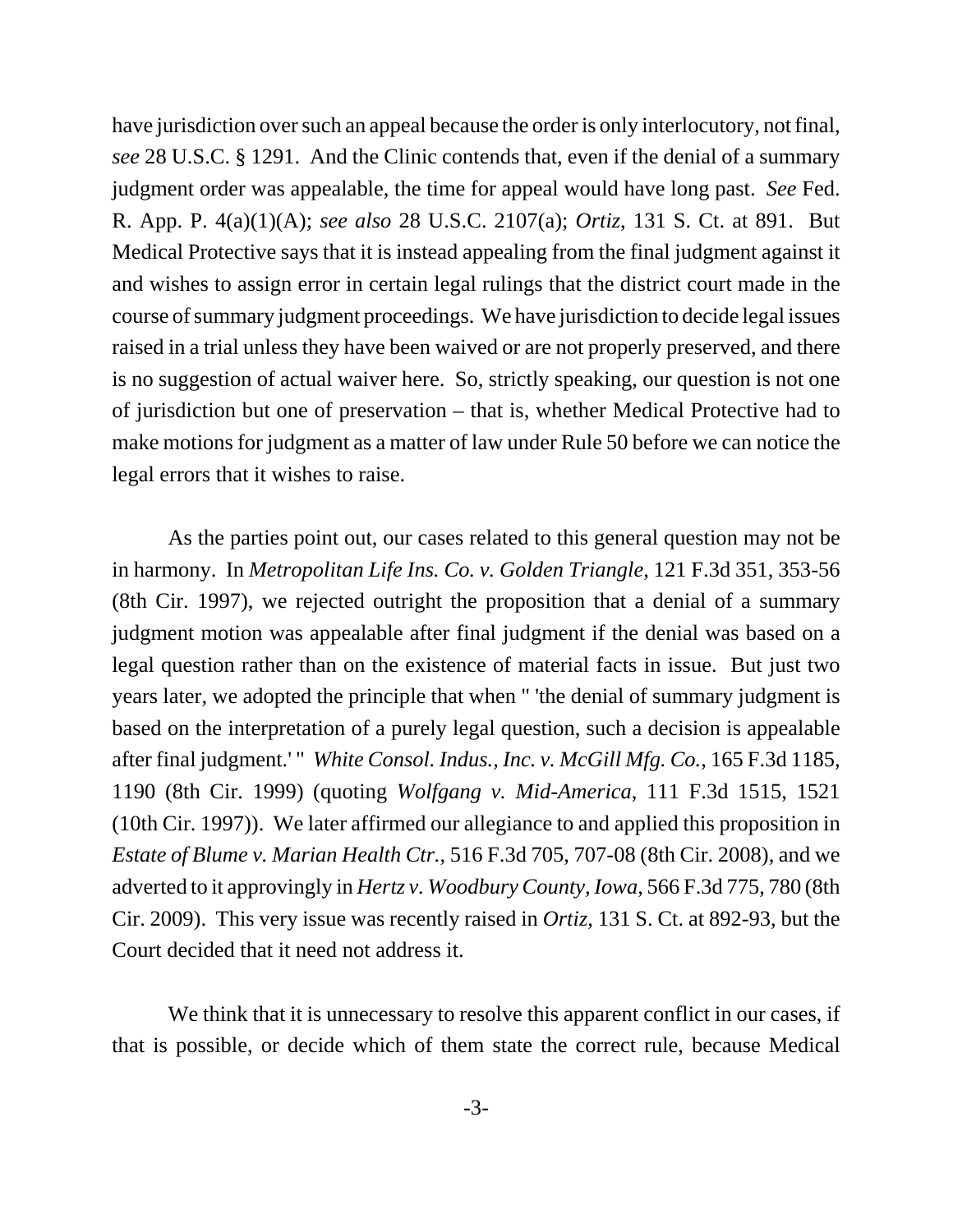have jurisdiction over such an appeal because the order is only interlocutory, not final, *see* 28 U.S.C. § 1291. And the Clinic contends that, even if the denial of a summary judgment order was appealable, the time for appeal would have long past. *See* Fed. R. App. P. 4(a)(1)(A); *see also* 28 U.S.C. 2107(a); *Ortiz*, 131 S. Ct. at 891. But Medical Protective says that it is instead appealing from the final judgment against it and wishes to assign error in certain legal rulings that the district court made in the course of summary judgment proceedings. We have jurisdiction to decide legal issues raised in a trial unless they have been waived or are not properly preserved, and there is no suggestion of actual waiver here. So, strictly speaking, our question is not one of jurisdiction but one of preservation – that is, whether Medical Protective had to make motions for judgment as a matter of law under Rule 50 before we can notice the legal errors that it wishes to raise.

As the parties point out, our cases related to this general question may not be in harmony. In *Metropolitan Life Ins. Co. v. Golden Triangle*, 121 F.3d 351, 353-56 (8th Cir. 1997), we rejected outright the proposition that a denial of a summary judgment motion was appealable after final judgment if the denial was based on a legal question rather than on the existence of material facts in issue. But just two years later, we adopted the principle that when " 'the denial of summary judgment is based on the interpretation of a purely legal question, such a decision is appealable after final judgment.' " *White Consol. Indus., Inc. v. McGill Mfg. Co.*, 165 F.3d 1185, 1190 (8th Cir. 1999) (quoting *Wolfgang v. Mid-America*, 111 F.3d 1515, 1521 (10th Cir. 1997)). We later affirmed our allegiance to and applied this proposition in *Estate of Blume v. Marian Health Ctr.*, 516 F.3d 705, 707-08 (8th Cir. 2008), and we adverted to it approvingly in *Hertz v. Woodbury County, Iowa*, 566 F.3d 775, 780 (8th Cir. 2009). This very issue was recently raised in *Ortiz*, 131 S. Ct. at 892-93, but the Court decided that it need not address it.

We think that it is unnecessary to resolve this apparent conflict in our cases, if that is possible, or decide which of them state the correct rule, because Medical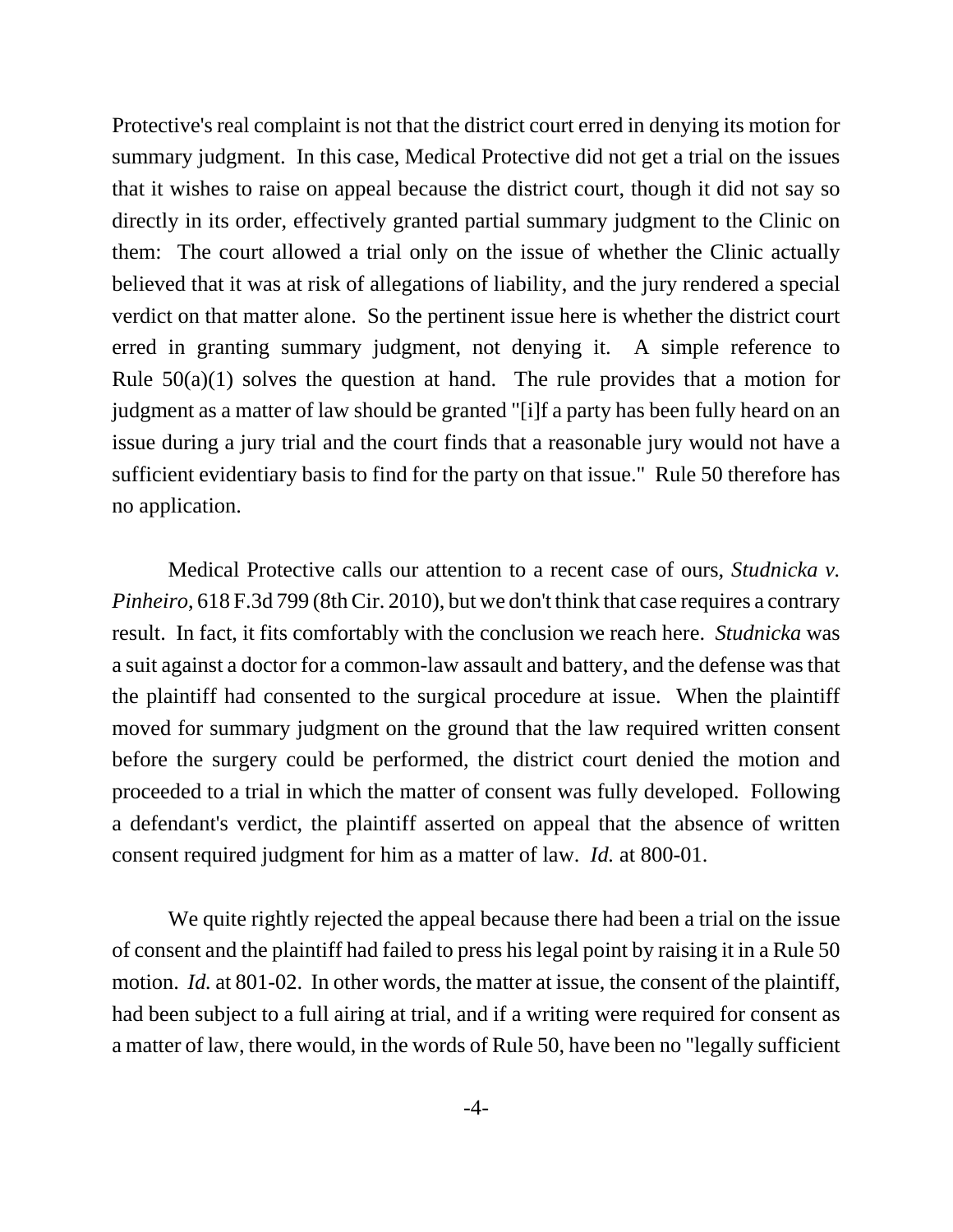Protective's real complaint is not that the district court erred in denying its motion for summary judgment. In this case, Medical Protective did not get a trial on the issues that it wishes to raise on appeal because the district court, though it did not say so directly in its order, effectively granted partial summary judgment to the Clinic on them: The court allowed a trial only on the issue of whether the Clinic actually believed that it was at risk of allegations of liability, and the jury rendered a special verdict on that matter alone. So the pertinent issue here is whether the district court erred in granting summary judgment, not denying it. A simple reference to Rule  $50(a)(1)$  solves the question at hand. The rule provides that a motion for judgment as a matter of law should be granted "[i]f a party has been fully heard on an issue during a jury trial and the court finds that a reasonable jury would not have a sufficient evidentiary basis to find for the party on that issue." Rule 50 therefore has no application.

Medical Protective calls our attention to a recent case of ours, *Studnicka v. Pinheiro*, 618 F.3d 799 (8th Cir. 2010), but we don't think that case requires a contrary result. In fact, it fits comfortably with the conclusion we reach here. *Studnicka* was a suit against a doctor for a common-law assault and battery, and the defense was that the plaintiff had consented to the surgical procedure at issue. When the plaintiff moved for summary judgment on the ground that the law required written consent before the surgery could be performed, the district court denied the motion and proceeded to a trial in which the matter of consent was fully developed. Following a defendant's verdict, the plaintiff asserted on appeal that the absence of written consent required judgment for him as a matter of law. *Id.* at 800-01.

We quite rightly rejected the appeal because there had been a trial on the issue of consent and the plaintiff had failed to press his legal point by raising it in a Rule 50 motion. *Id.* at 801-02. In other words, the matter at issue, the consent of the plaintiff, had been subject to a full airing at trial, and if a writing were required for consent as a matter of law, there would, in the words of Rule 50, have been no "legally sufficient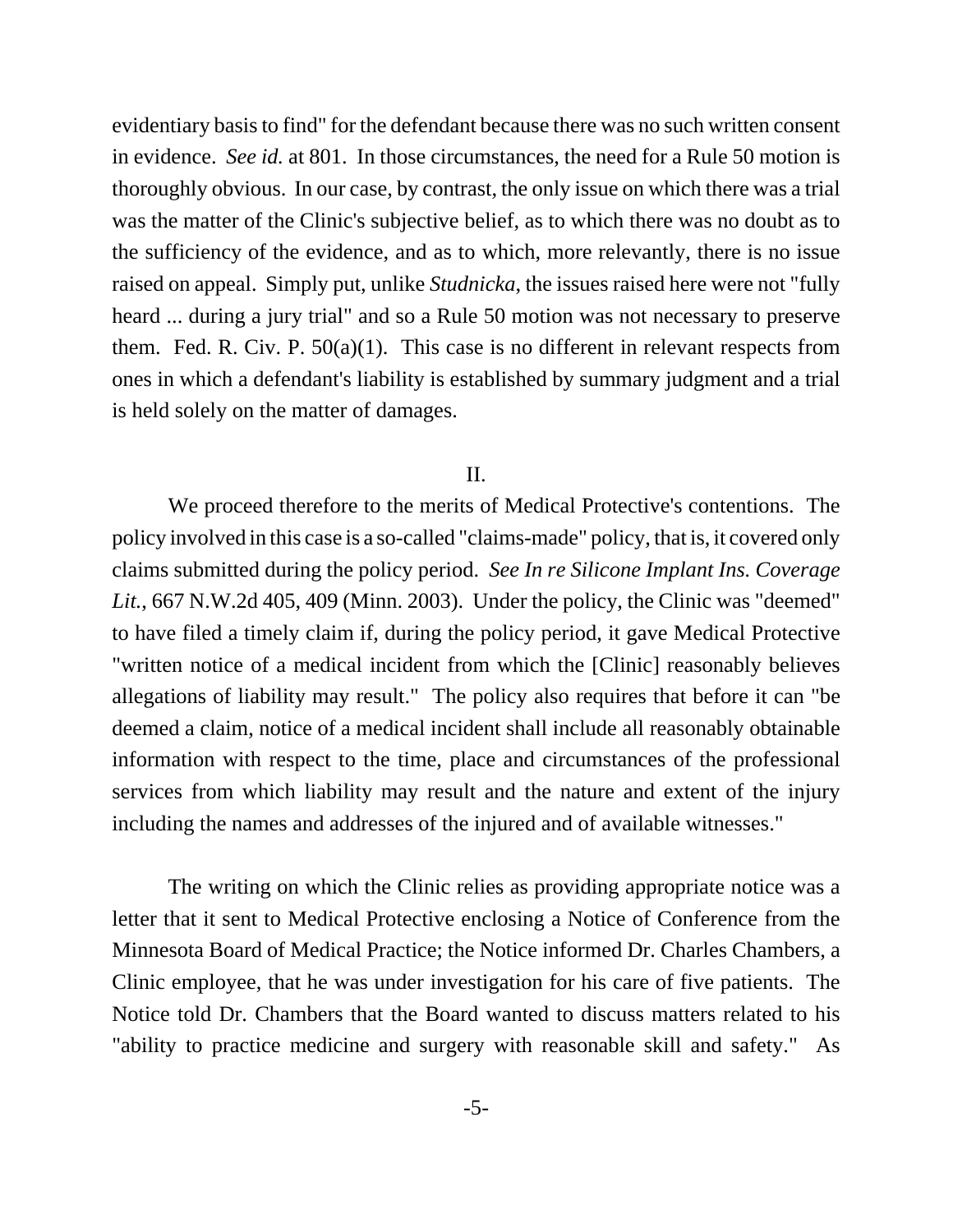evidentiary basis to find" for the defendant because there was no such written consent in evidence. *See id.* at 801. In those circumstances, the need for a Rule 50 motion is thoroughly obvious. In our case, by contrast, the only issue on which there was a trial was the matter of the Clinic's subjective belief, as to which there was no doubt as to the sufficiency of the evidence, and as to which, more relevantly, there is no issue raised on appeal. Simply put, unlike *Studnicka*, the issues raised here were not "fully heard ... during a jury trial" and so a Rule 50 motion was not necessary to preserve them. Fed. R. Civ. P.  $50(a)(1)$ . This case is no different in relevant respects from ones in which a defendant's liability is established by summary judgment and a trial is held solely on the matter of damages.

## II.

We proceed therefore to the merits of Medical Protective's contentions. The policy involved in this case is a so-called "claims-made" policy, that is, it covered only claims submitted during the policy period. *See In re Silicone Implant Ins. Coverage Lit.*, 667 N.W.2d 405, 409 (Minn. 2003). Under the policy, the Clinic was "deemed" to have filed a timely claim if, during the policy period, it gave Medical Protective "written notice of a medical incident from which the [Clinic] reasonably believes allegations of liability may result." The policy also requires that before it can "be deemed a claim, notice of a medical incident shall include all reasonably obtainable information with respect to the time, place and circumstances of the professional services from which liability may result and the nature and extent of the injury including the names and addresses of the injured and of available witnesses."

The writing on which the Clinic relies as providing appropriate notice was a letter that it sent to Medical Protective enclosing a Notice of Conference from the Minnesota Board of Medical Practice; the Notice informed Dr. Charles Chambers, a Clinic employee, that he was under investigation for his care of five patients. The Notice told Dr. Chambers that the Board wanted to discuss matters related to his "ability to practice medicine and surgery with reasonable skill and safety." As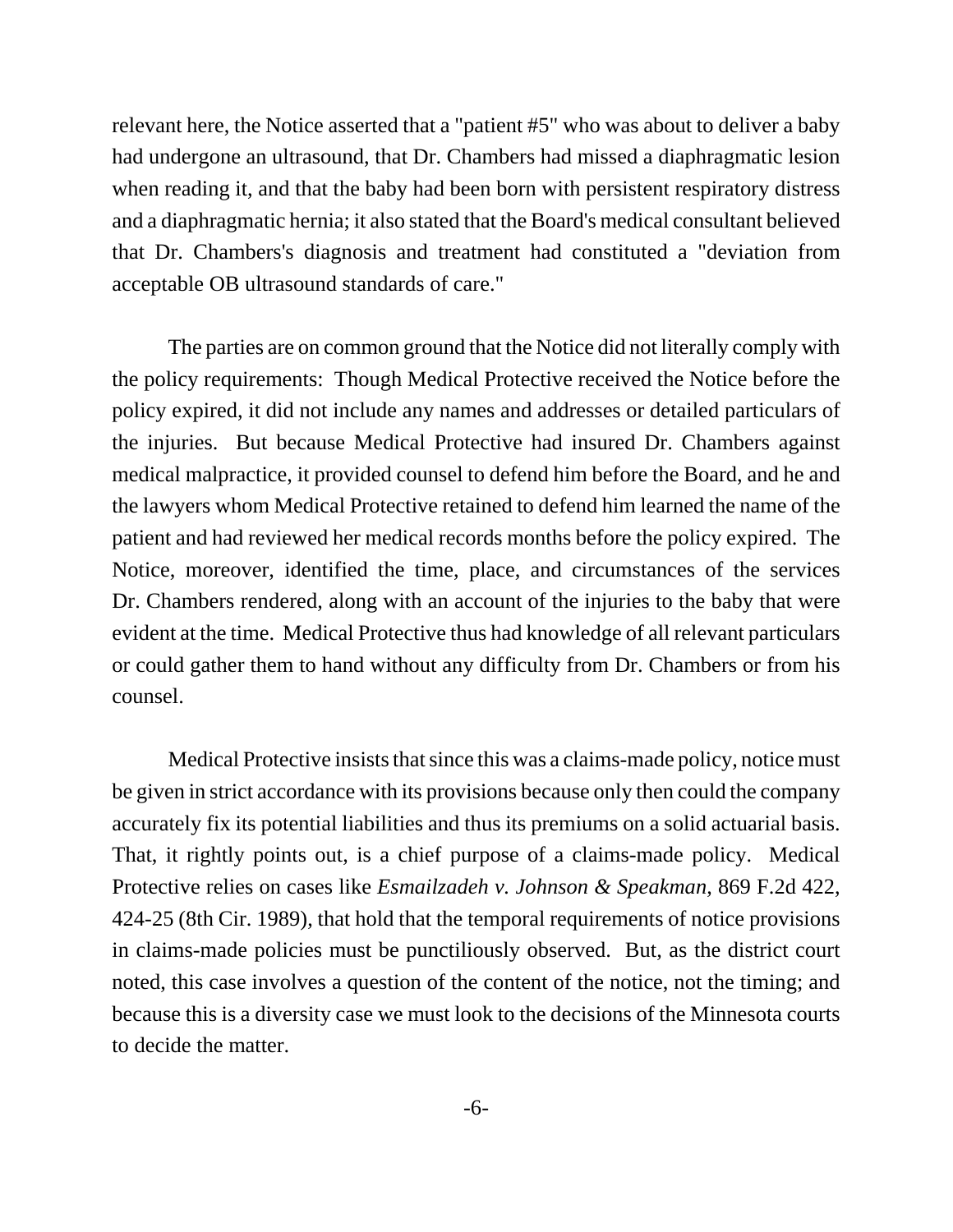relevant here, the Notice asserted that a "patient #5" who was about to deliver a baby had undergone an ultrasound, that Dr. Chambers had missed a diaphragmatic lesion when reading it, and that the baby had been born with persistent respiratory distress and a diaphragmatic hernia; it also stated that the Board's medical consultant believed that Dr. Chambers's diagnosis and treatment had constituted a "deviation from acceptable OB ultrasound standards of care."

The parties are on common ground that the Notice did not literally comply with the policy requirements: Though Medical Protective received the Notice before the policy expired, it did not include any names and addresses or detailed particulars of the injuries. But because Medical Protective had insured Dr. Chambers against medical malpractice, it provided counsel to defend him before the Board, and he and the lawyers whom Medical Protective retained to defend him learned the name of the patient and had reviewed her medical records months before the policy expired. The Notice, moreover, identified the time, place, and circumstances of the services Dr. Chambers rendered, along with an account of the injuries to the baby that were evident at the time. Medical Protective thus had knowledge of all relevant particulars or could gather them to hand without any difficulty from Dr. Chambers or from his counsel.

Medical Protective insists that since this was a claims-made policy, notice must be given in strict accordance with its provisions because only then could the company accurately fix its potential liabilities and thus its premiums on a solid actuarial basis. That, it rightly points out, is a chief purpose of a claims-made policy. Medical Protective relies on cases like *Esmailzadeh v. Johnson & Speakman*, 869 F.2d 422, 424-25 (8th Cir. 1989), that hold that the temporal requirements of notice provisions in claims-made policies must be punctiliously observed. But, as the district court noted, this case involves a question of the content of the notice, not the timing; and because this is a diversity case we must look to the decisions of the Minnesota courts to decide the matter.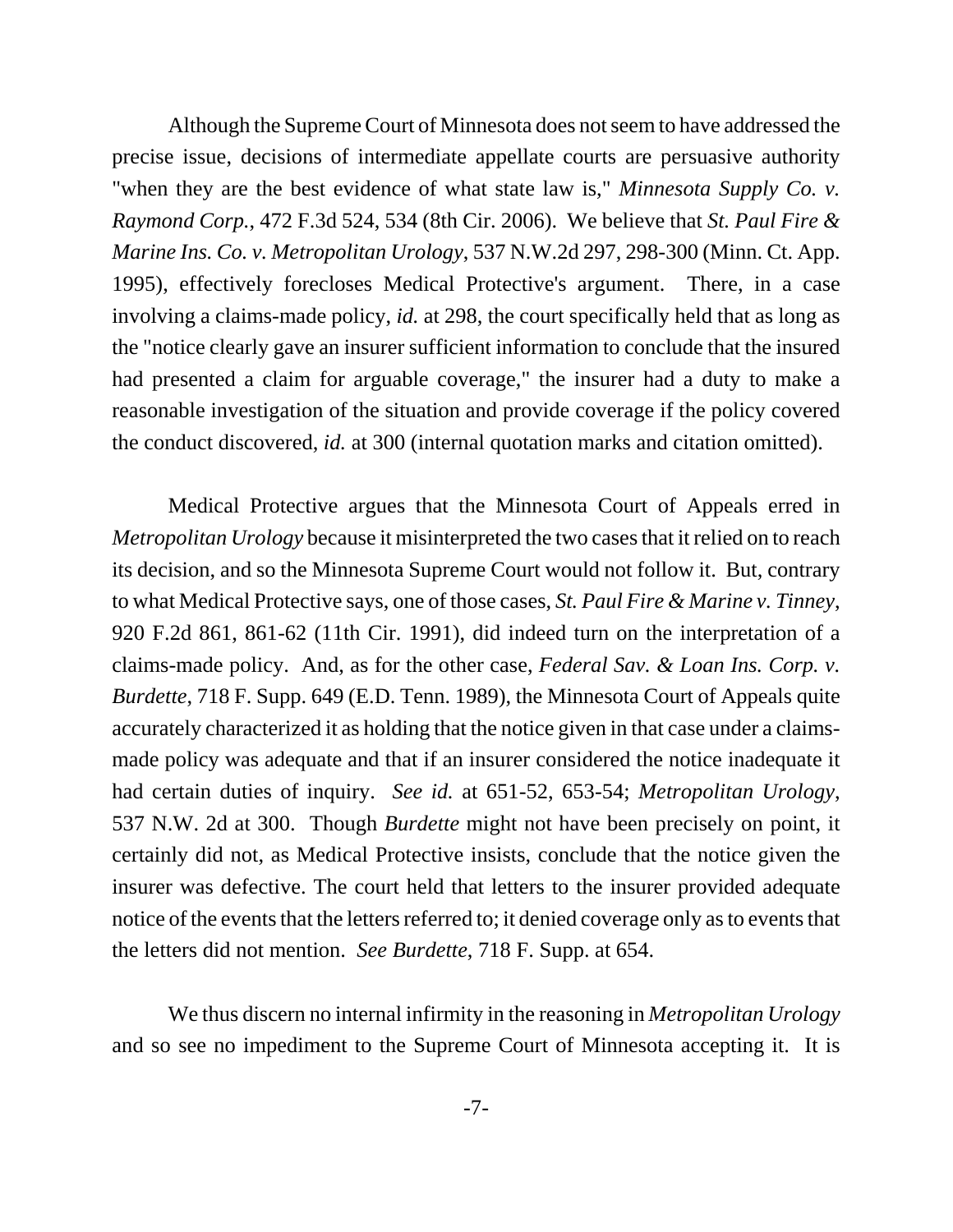Although the Supreme Court of Minnesota does not seem to have addressed the precise issue, decisions of intermediate appellate courts are persuasive authority "when they are the best evidence of what state law is," *Minnesota Supply Co. v. Raymond Corp.*, 472 F.3d 524, 534 (8th Cir. 2006). We believe that *St. Paul Fire & Marine Ins. Co. v. Metropolitan Urology*, 537 N.W.2d 297, 298-300 (Minn. Ct. App. 1995), effectively forecloses Medical Protective's argument. There, in a case involving a claims-made policy, *id.* at 298, the court specifically held that as long as the "notice clearly gave an insurer sufficient information to conclude that the insured had presented a claim for arguable coverage," the insurer had a duty to make a reasonable investigation of the situation and provide coverage if the policy covered the conduct discovered, *id.* at 300 (internal quotation marks and citation omitted).

Medical Protective argues that the Minnesota Court of Appeals erred in *Metropolitan Urology* because it misinterpreted the two cases that it relied on to reach its decision, and so the Minnesota Supreme Court would not follow it. But, contrary to what Medical Protective says, one of those cases, *St. Paul Fire & Marine v. Tinney*, 920 F.2d 861, 861-62 (11th Cir. 1991), did indeed turn on the interpretation of a claims-made policy. And, as for the other case, *Federal Sav. & Loan Ins. Corp. v. Burdette*, 718 F. Supp. 649 (E.D. Tenn. 1989), the Minnesota Court of Appeals quite accurately characterized it as holding that the notice given in that case under a claimsmade policy was adequate and that if an insurer considered the notice inadequate it had certain duties of inquiry. *See id.* at 651-52, 653-54; *Metropolitan Urology*, 537 N.W. 2d at 300. Though *Burdette* might not have been precisely on point, it certainly did not, as Medical Protective insists, conclude that the notice given the insurer was defective. The court held that letters to the insurer provided adequate notice of the events that the letters referred to; it denied coverage only as to events that the letters did not mention. *See Burdette*, 718 F. Supp. at 654.

We thus discern no internal infirmity in the reasoning in *Metropolitan Urology* and so see no impediment to the Supreme Court of Minnesota accepting it. It is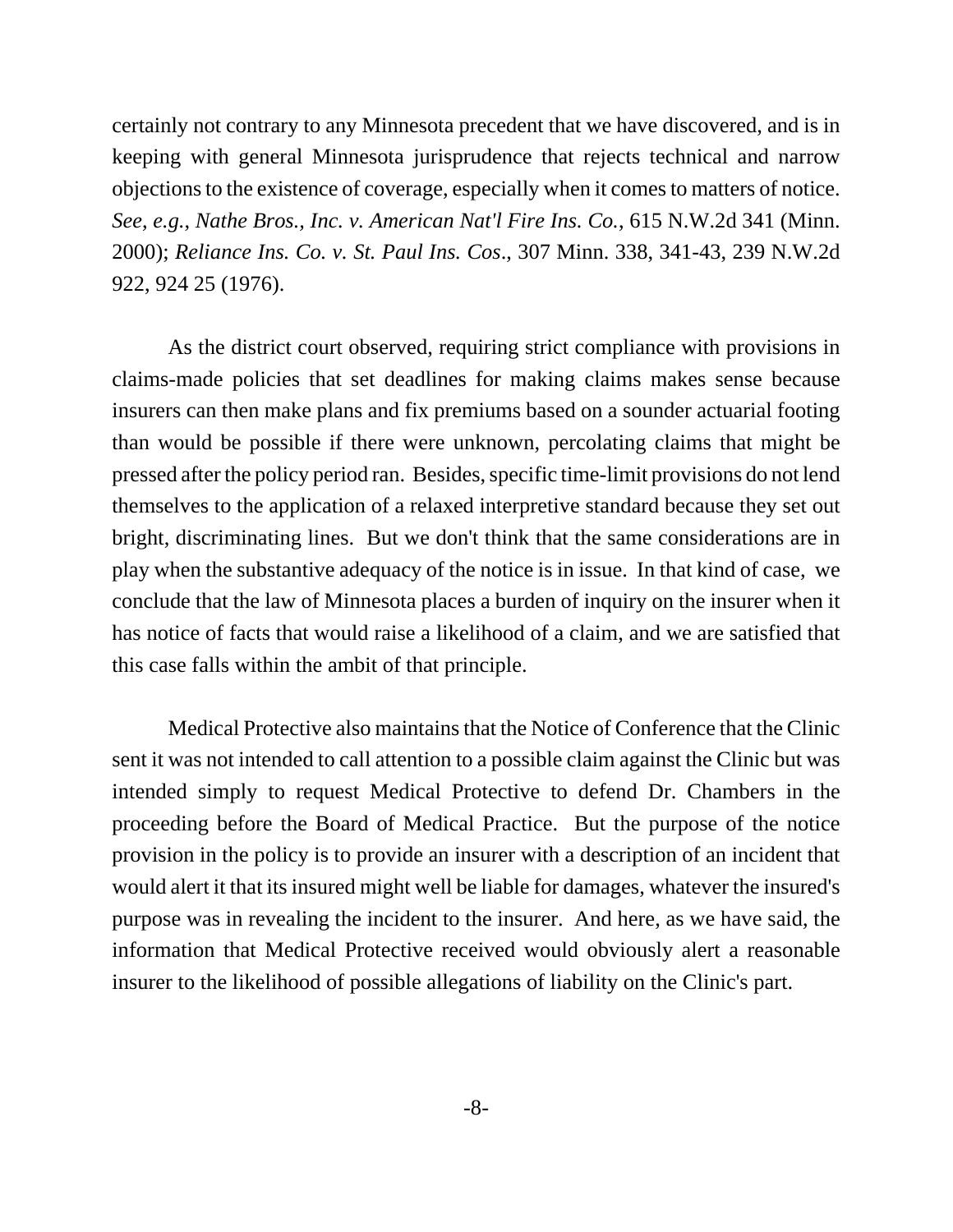certainly not contrary to any Minnesota precedent that we have discovered, and is in keeping with general Minnesota jurisprudence that rejects technical and narrow objections to the existence of coverage, especially when it comes to matters of notice. *See*, *e.g.*, *Nathe Bros., Inc. v. American Nat'l Fire Ins. Co.*, 615 N.W.2d 341 (Minn. 2000); *Reliance Ins. Co. v. St. Paul Ins. Cos*., 307 Minn. 338, 341-43, 239 N.W.2d 922, 924 25 (1976).

As the district court observed, requiring strict compliance with provisions in claims-made policies that set deadlines for making claims makes sense because insurers can then make plans and fix premiums based on a sounder actuarial footing than would be possible if there were unknown, percolating claims that might be pressed after the policy period ran. Besides, specific time-limit provisions do not lend themselves to the application of a relaxed interpretive standard because they set out bright, discriminating lines. But we don't think that the same considerations are in play when the substantive adequacy of the notice is in issue. In that kind of case, we conclude that the law of Minnesota places a burden of inquiry on the insurer when it has notice of facts that would raise a likelihood of a claim, and we are satisfied that this case falls within the ambit of that principle.

Medical Protective also maintains that the Notice of Conference that the Clinic sent it was not intended to call attention to a possible claim against the Clinic but was intended simply to request Medical Protective to defend Dr. Chambers in the proceeding before the Board of Medical Practice. But the purpose of the notice provision in the policy is to provide an insurer with a description of an incident that would alert it that its insured might well be liable for damages, whatever the insured's purpose was in revealing the incident to the insurer. And here, as we have said, the information that Medical Protective received would obviously alert a reasonable insurer to the likelihood of possible allegations of liability on the Clinic's part.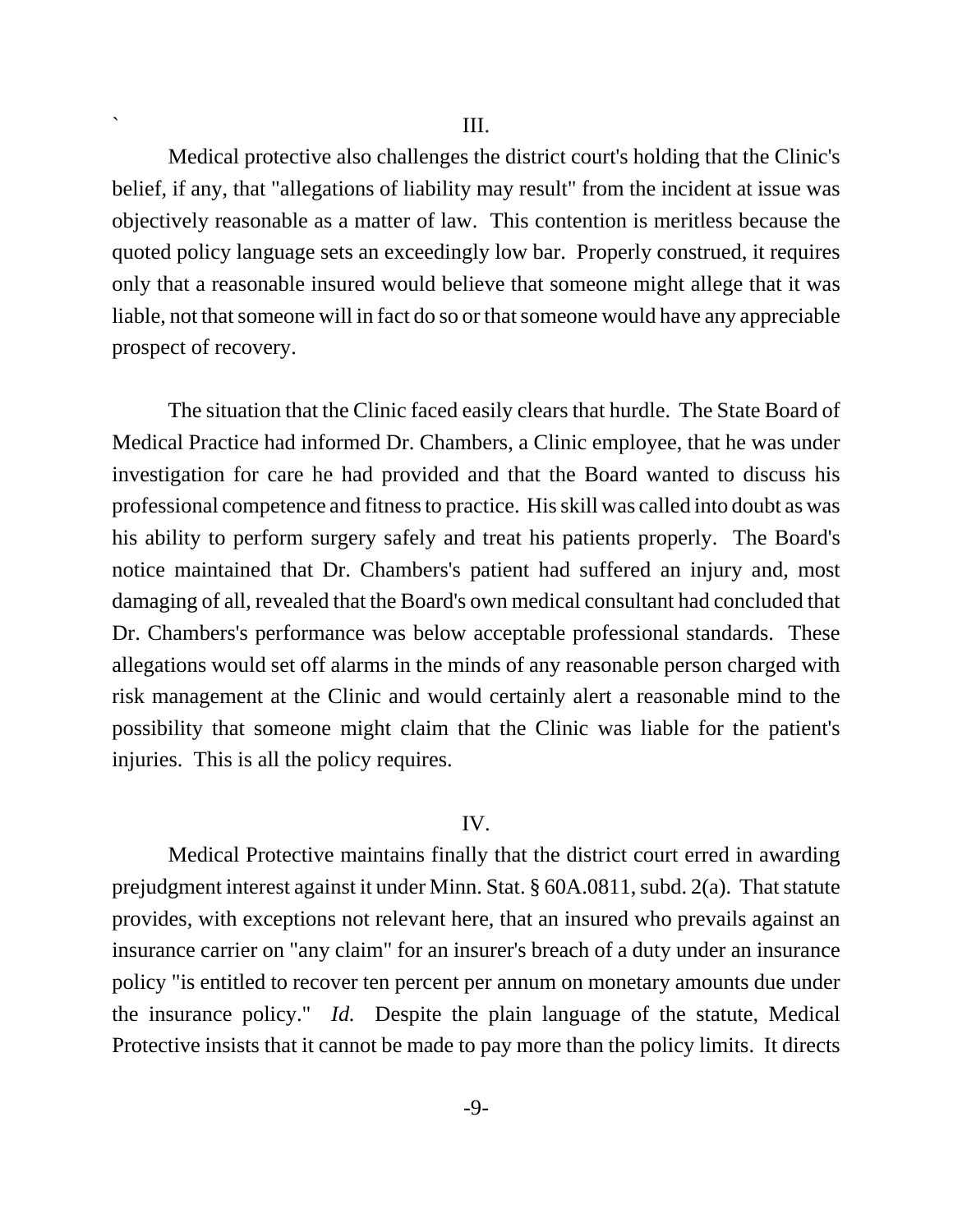Medical protective also challenges the district court's holding that the Clinic's belief, if any, that "allegations of liability may result" from the incident at issue was objectively reasonable as a matter of law. This contention is meritless because the quoted policy language sets an exceedingly low bar. Properly construed, it requires only that a reasonable insured would believe that someone might allege that it was liable, not that someone will in fact do so or that someone would have any appreciable prospect of recovery.

The situation that the Clinic faced easily clears that hurdle. The State Board of Medical Practice had informed Dr. Chambers, a Clinic employee, that he was under investigation for care he had provided and that the Board wanted to discuss his professional competence and fitness to practice. His skill was called into doubt as was his ability to perform surgery safely and treat his patients properly. The Board's notice maintained that Dr. Chambers's patient had suffered an injury and, most damaging of all, revealed that the Board's own medical consultant had concluded that Dr. Chambers's performance was below acceptable professional standards. These allegations would set off alarms in the minds of any reasonable person charged with risk management at the Clinic and would certainly alert a reasonable mind to the possibility that someone might claim that the Clinic was liable for the patient's injuries. This is all the policy requires.

## IV.

Medical Protective maintains finally that the district court erred in awarding prejudgment interest against it under Minn. Stat. § 60A.0811, subd. 2(a). That statute provides, with exceptions not relevant here, that an insured who prevails against an insurance carrier on "any claim" for an insurer's breach of a duty under an insurance policy "is entitled to recover ten percent per annum on monetary amounts due under the insurance policy." *Id.* Despite the plain language of the statute, Medical Protective insists that it cannot be made to pay more than the policy limits. It directs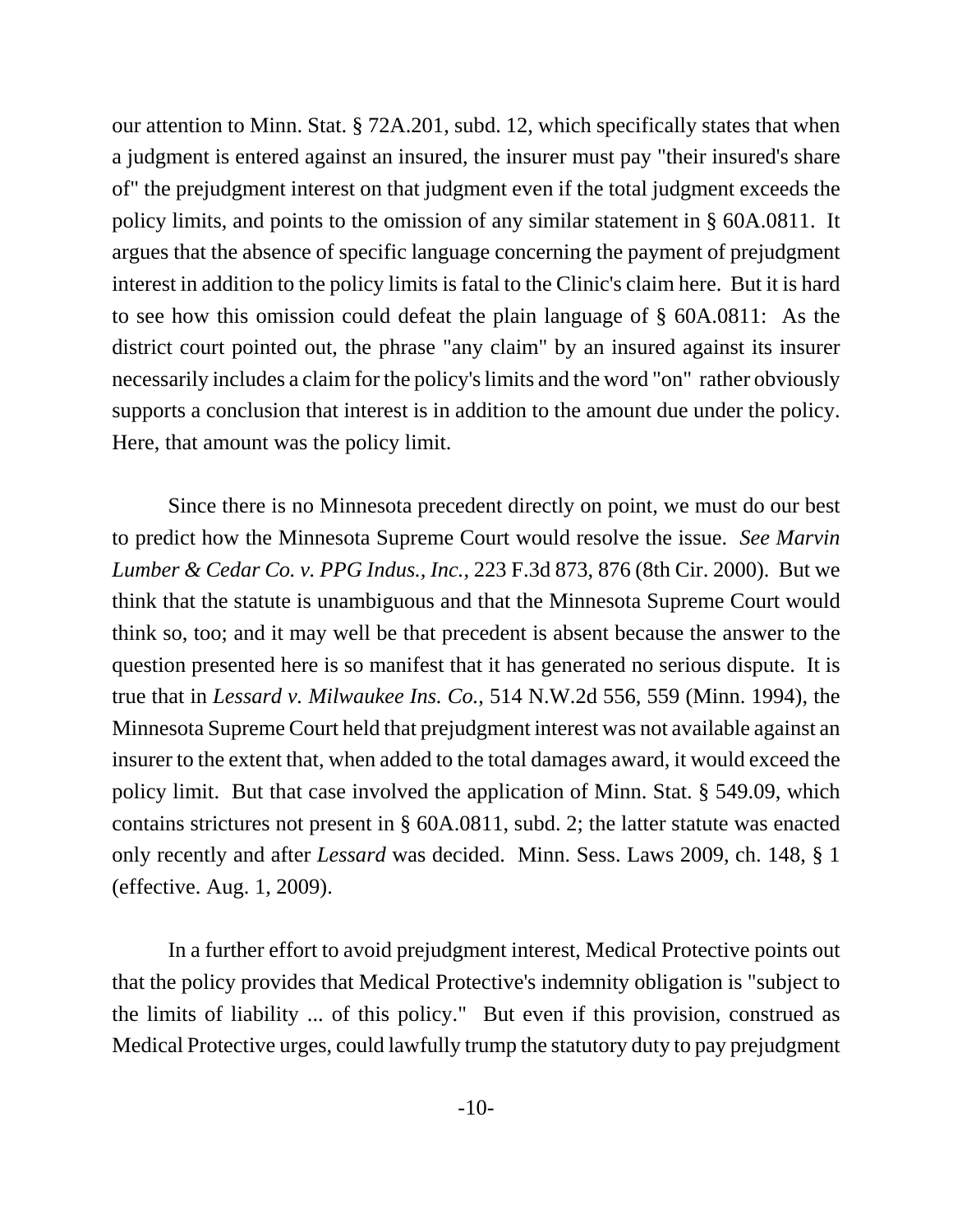our attention to Minn. Stat. § 72A.201, subd. 12, which specifically states that when a judgment is entered against an insured, the insurer must pay "their insured's share of" the prejudgment interest on that judgment even if the total judgment exceeds the policy limits, and points to the omission of any similar statement in § 60A.0811. It argues that the absence of specific language concerning the payment of prejudgment interest in addition to the policy limits is fatal to the Clinic's claim here. But it is hard to see how this omission could defeat the plain language of § 60A.0811: As the district court pointed out, the phrase "any claim" by an insured against its insurer necessarily includes a claim for the policy's limits and the word "on" rather obviously supports a conclusion that interest is in addition to the amount due under the policy. Here, that amount was the policy limit.

Since there is no Minnesota precedent directly on point, we must do our best to predict how the Minnesota Supreme Court would resolve the issue. *See Marvin Lumber & Cedar Co. v. PPG Indus., Inc.*, 223 F.3d 873, 876 (8th Cir. 2000). But we think that the statute is unambiguous and that the Minnesota Supreme Court would think so, too; and it may well be that precedent is absent because the answer to the question presented here is so manifest that it has generated no serious dispute. It is true that in *Lessard v. Milwaukee Ins. Co.*, 514 N.W.2d 556, 559 (Minn. 1994), the Minnesota Supreme Court held that prejudgment interest was not available against an insurer to the extent that, when added to the total damages award, it would exceed the policy limit. But that case involved the application of Minn. Stat. § 549.09, which contains strictures not present in § 60A.0811, subd. 2; the latter statute was enacted only recently and after *Lessard* was decided. Minn. Sess. Laws 2009, ch. 148, § 1 (effective. Aug. 1, 2009).

In a further effort to avoid prejudgment interest, Medical Protective points out that the policy provides that Medical Protective's indemnity obligation is "subject to the limits of liability ... of this policy." But even if this provision, construed as Medical Protective urges, could lawfully trump the statutory duty to pay prejudgment